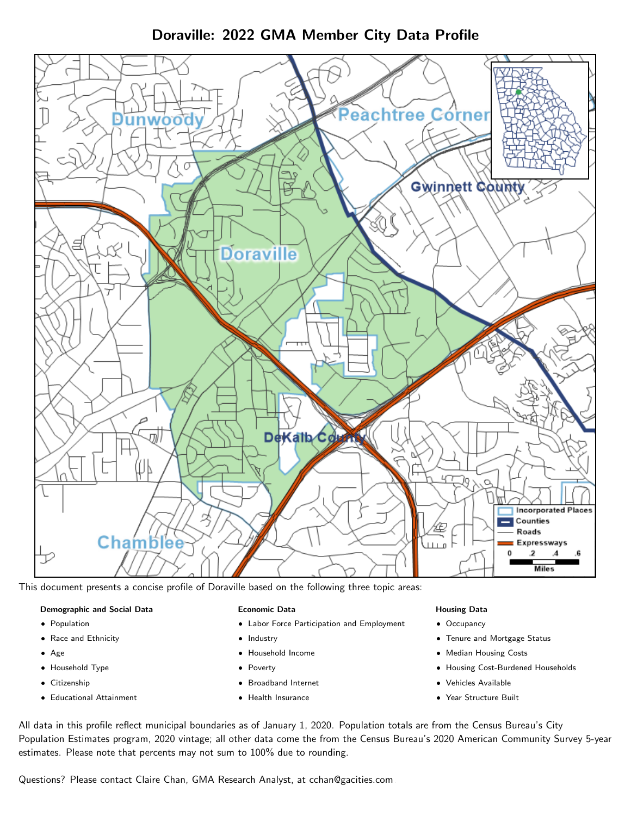# Doraville: 2022 GMA Member City Data Profile



This document presents a concise profile of Doraville based on the following three topic areas:

### Demographic and Social Data

- **•** Population
- Race and Ethnicity
- Age
- Household Type
- **Citizenship**
- Educational Attainment

### Economic Data

- Labor Force Participation and Employment
- Industry
- Household Income
- Poverty
- Broadband Internet
- Health Insurance

### Housing Data

- Occupancy
- Tenure and Mortgage Status
- Median Housing Costs
- Housing Cost-Burdened Households
- Vehicles Available
- Year Structure Built

All data in this profile reflect municipal boundaries as of January 1, 2020. Population totals are from the Census Bureau's City Population Estimates program, 2020 vintage; all other data come the from the Census Bureau's 2020 American Community Survey 5-year estimates. Please note that percents may not sum to 100% due to rounding.

Questions? Please contact Claire Chan, GMA Research Analyst, at [cchan@gacities.com.](mailto:cchan@gacities.com)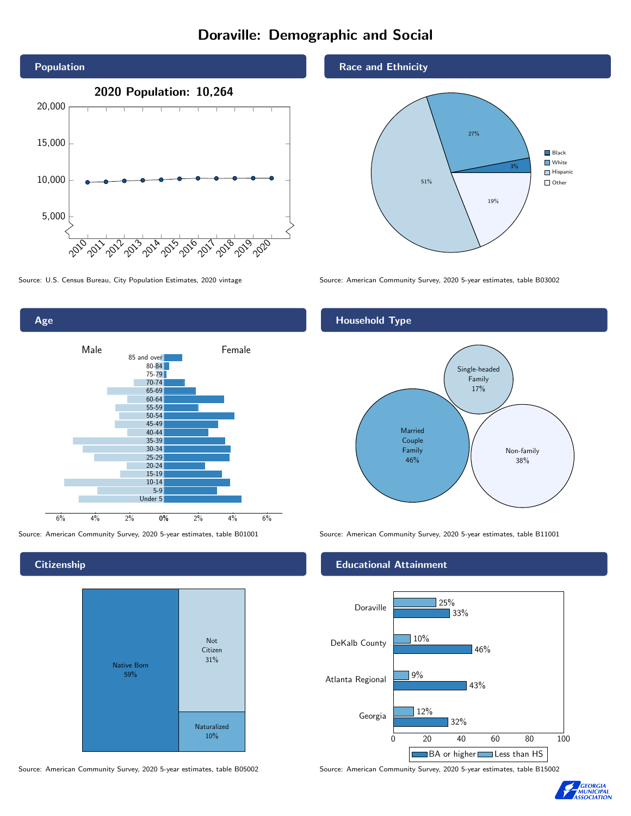# Doraville: Demographic and Social



Age 0% 2% 4% 6% Male **Female** 6% 4% 2% 85 and over 80-84 75-79 70-74 65-69 60-64 55-59 50-54 45-49 40-44 35-39 30-34 25-29 20-24 15-19 10-14 5-9 Under 5

**Citizenship** 



Source: American Community Survey, 2020 5-year estimates, table B05002 Source: American Community Survey, 2020 5-year estimates, table B15002

#### Race and Ethnicity



Source: U.S. Census Bureau, City Population Estimates, 2020 vintage Source: American Community Survey, 2020 5-year estimates, table B03002

## Household Type



Source: American Community Survey, 2020 5-year estimates, table B01001 Source: American Community Survey, 2020 5-year estimates, table B11001

### Educational Attainment



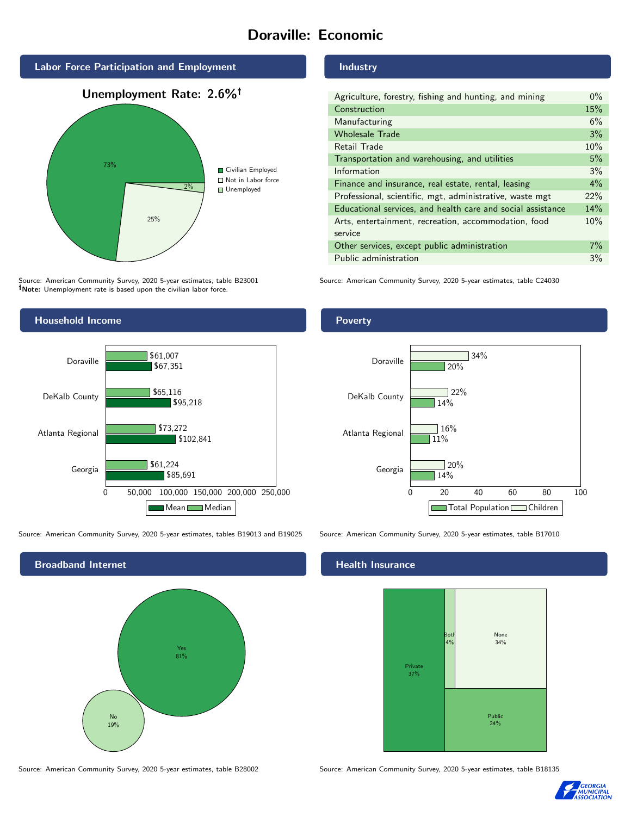# Doraville: Economic



Source: American Community Survey, 2020 5-year estimates, table B23001 Note: Unemployment rate is based upon the civilian labor force.



Source: American Community Survey, 2020 5-year estimates, tables B19013 and B19025 Source: American Community Survey, 2020 5-year estimates, table B17010



Source: American Community Survey, 2020 5-year estimates, table B28002 Source: American Community Survey, 2020 5-year estimates, table B18135

Industry

| Agriculture, forestry, fishing and hunting, and mining      | $0\%$ |
|-------------------------------------------------------------|-------|
| Construction                                                | 15%   |
| Manufacturing                                               | 6%    |
| <b>Wholesale Trade</b>                                      | 3%    |
| Retail Trade                                                | 10%   |
| Transportation and warehousing, and utilities               | 5%    |
| Information                                                 | 3%    |
| Finance and insurance, real estate, rental, leasing         | $4\%$ |
| Professional, scientific, mgt, administrative, waste mgt    | 22%   |
| Educational services, and health care and social assistance | 14%   |
| Arts, entertainment, recreation, accommodation, food        | 10%   |
| service                                                     |       |
| Other services, except public administration                | $7\%$ |
| Public administration                                       | 3%    |

Source: American Community Survey, 2020 5-year estimates, table C24030

## Poverty



# **Health Insurance**